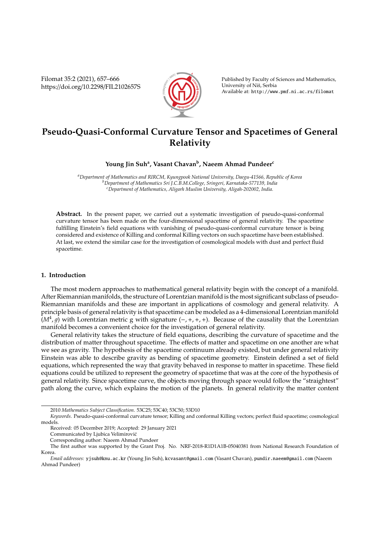Filomat 35:2 (2021), 657–666 https://doi.org/10.2298/FIL2102657S



Published by Faculty of Sciences and Mathematics, University of Niš, Serbia Available at: http://www.pmf.ni.ac.rs/filomat

# **Pseudo-Quasi-Conformal Curvature Tensor and Spacetimes of General Relativity**

## **Young Jin Suh<sup>a</sup> , Vasant Chavan<sup>b</sup> , Naeem Ahmad Pundeer<sup>c</sup>**

*<sup>a</sup>Department of Mathematics and RIRCM, Kyungpook National University, Daegu-41566, Republic of Korea <sup>b</sup>Department of Mathematics Sri J.C.B.M.College, Sringeri, Karnataka-577139, India <sup>c</sup>Department of Mathematics, Aligarh Muslim University, Aligah-202002, India.*

**Abstract.** In the present paper, we carried out a systematic investigation of pseudo-quasi-conformal curvature tensor has been made on the four-dimensional spacetime of general relativity. The spacetime fulfilling Einstein's field equations with vanishing of pseudo-quasi-conformal curvature tensor is being considered and existence of Killing and conformal Killing vectors on such spacetime have been established. At last, we extend the similar case for the investigation of cosmological models with dust and perfect fluid spacetime.

#### **1. Introduction**

The most modern approaches to mathematical general relativity begin with the concept of a manifold. After Riemannian manifolds, the structure of Lorentzian manifold is the most significant subclass of pseudo-Riemannian manifolds and these are important in applications of cosmology and general relativity. A principle basis of general relativity is that spacetime can be modeled as a 4-dimensional Lorentzian manifold  $(M^4, g)$  with Lorentzian metric g with signature (-, +, +, +). Because of the causality that the Lorentzian manifold becomes a convenient choice for the investigation of general relativity.

General relativity takes the structure of field equations, describing the curvature of spacetime and the distribution of matter throughout spacetime. The effects of matter and spacetime on one another are what we see as gravity. The hypothesis of the spacetime continuum already existed, but under general relativity Einstein was able to describe gravity as bending of spacetime geometry. Einstein defined a set of field equations, which represented the way that gravity behaved in response to matter in spacetime. These field equations could be utilized to represent the geometry of spacetime that was at the core of the hypothesis of general relativity. Since spacetime curve, the objects moving through space would follow the "straightest" path along the curve, which explains the motion of the planets. In general relativity the matter content

<sup>2010</sup> *Mathematics Subject Classification*. 53C25; 53C40; 53C50; 53D10

*Keywords*. Pseudo-quasi-conformal curvature tensor; Killing and conformal Killing vectors; perfect fluid spacetime; cosmological models.

Received: 05 December 2019; Accepted: 29 January 2021

Communicated by Ljubica Velimirovic´

Corresponding author: Naeem Ahmad Pundeer

The first author was supported by the Grant Proj. No. NRF-2018-R1D1A1B-05040381 from National Research Foundation of Korea.

*Email addresses:* yjsuh@knu.ac.kr (Young Jin Suh), kcvasant@gmail.com (Vasant Chavan), pundir.naeem@gmail.com (Naeem Ahmad Pundeer)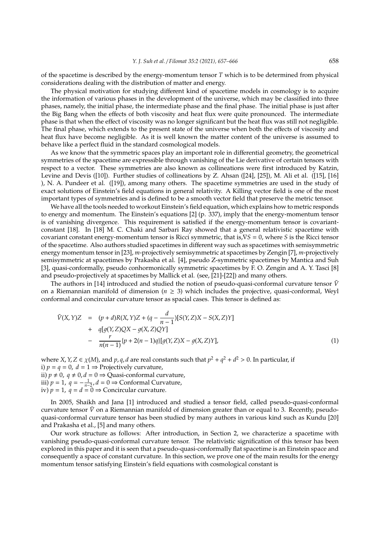of the spacetime is described by the energy-momentum tensor *T* which is to be determined from physical considerations dealing with the distribution of matter and energy.

The physical motivation for studying different kind of spacetime models in cosmology is to acquire the information of various phases in the development of the universe, which may be classified into three phases, namely, the initial phase, the intermediate phase and the final phase. The initial phase is just after the Big Bang when the effects of both viscosity and heat flux were quite pronounced. The intermediate phase is that when the effect of viscosity was no longer significant but the heat flux was still not negligible. The final phase, which extends to the present state of the universe when both the effects of viscosity and heat flux have become negligible. As it is well known the matter content of the universe is assumed to behave like a perfect fluid in the standard cosmological models.

As we know that the symmetric spaces play an important role in differential geometry, the geometrical symmetries of the spacetime are expressible through vanishing of the Lie derivative of certain tensors with respect to a vector. These symmetries are also known as collineations were first introduced by Katzin, Levine and Devis ([10]). Further studies of collineations by Z. Ahsan ([24], [25]), M. Ali et al. ([15], [16] ), N. A. Pundeer et al. ([19]), among many others. The spacetime symmetries are used in the study of exact solutions of Einstein's field equations in general relativity. A Killing vector field is one of the most important types of symmetries and is defined to be a smooth vector field that preserve the metric tensor.

We have all the tools needed to workout Einstein's field equation, which explains how to metric responds to energy and momentum. The Einstein's equations [2] (p. 337), imply that the energy-momentum tensor is of vanishing divergence. This requirement is satisfied if the energy-momentum tensor is covariantconstant [18]. In [18] M. C. Chaki and Sarbari Ray showed that a general relativistic spacetime with covariant constant energy-momentum tensor is Ricci symmetric, that is,∇*S* = 0, where *S* is the Ricci tensor of the spacetime. Also authors studied spacetimes in different way such as spacetimes with semisymmetric energy momentum tensor in [23], *m*-projectively semisymmetric at spacetimes by Zengin [7], *m*-projectively semisymmetric at spacetimes by Prakasha et al. [4], pseudo Z-symmetric spacetimes by Mantica and Suh [3], quasi-conformally, pseudo conhormonically symmetric spacetimes by F. O. Zengin and A. Y. Tasci [8] and pseudo-projectively at spacetimes by Mallick et al. (see, [21]-[22]) and many others.

The authors in [14] introduced and studied the notion of pseudo-quasi-conformal curvature tensor  $\tilde{V}$ on a Riemannian manifold of dimension ( $n \geq 3$ ) which includes the projective, quasi-conformal, Weyl conformal and concircular curvature tensor as spacial cases. This tensor is defined as:

$$
\tilde{V}(X,Y)Z = (p+d)R(X,Y)Z + (q - \frac{d}{n-1})[S(Y,Z)X - S(X,Z)Y] \n+ q[g(Y,Z)QX - g(X,Z)QY] \n- \frac{r}{n(n-1)}\{p + 2(n-1)q\}[g(Y,Z)X - g(X,Z)Y],
$$
\n(1)

where *X*, *Y*, *Z*  $\in$  *χ*(*M*), and *p*, *q*, *d* are real constants such that  $p^2 + q^2 + d^2 > 0$ . In particular, if i)  $p = q = 0$ ,  $d = 1 \Rightarrow$  Projectively curvature, ii)  $p \neq 0$ ,  $q \neq 0$ ,  $d = 0 \Rightarrow$  Quasi-conformal curvature, iii) *p* = 1, *q* =  $-\frac{1}{n-2}$ , *d* = 0 ⇒ Conformal Curvature, iv)  $p = 1$ ,  $q = d = 0 \Rightarrow$  Concircular curvature.

In 2005, Shaikh and Jana [1] introduced and studied a tensor field, called pseudo-quasi-conformal curvature tensor  $\tilde{V}$  on a Riemannian manifold of dimension greater than or equal to 3. Recently, pseudoquasi-conformal curvature tensor has been studied by many authors in various kind such as Kundu [20] and Prakasha et al., [5] and many others.

Our work structure as follows: After introduction, in Section 2, we characterize a spacetime with vanishing pseudo-quasi-conformal curvature tensor. The relativistic signification of this tensor has been explored in this paper and it is seen that a pseudo-quasi-conformally flat spacetime is an Einstein space and consequently a space of constant curvature. In this section, we prove one of the main results for the energy momentum tensor satisfying Einstein's field equations with cosmological constant is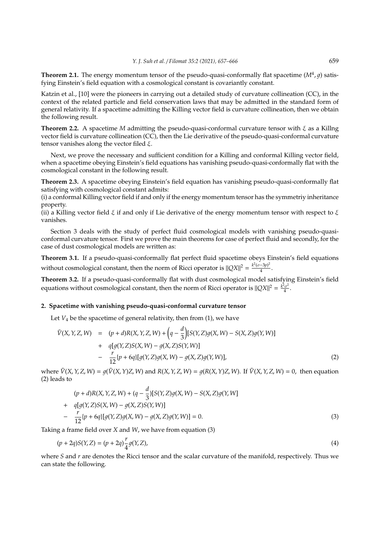**Theorem 2.1.** The energy momentum tensor of the pseudo-quasi-conformally flat spacetime  $(M^4, g)$  satisfying Einstein's field equation with a cosmological constant is covariantly constant.

Katzin et al., [10] were the pioneers in carrying out a detailed study of curvature collineation (CC), in the context of the related particle and field conservation laws that may be admitted in the standard form of general relativity. If a spacetime admitting the Killing vector field is curvature collineation, then we obtain the following result.

**Theorem 2.2.** A spacetime *M* admitting the pseudo-quasi-conformal curvature tensor with ξ as a Killng vector field is curvature collineation (CC), then the Lie derivative of the pseudo-quasi-conformal curvature tensor vanishes along the vector filed  $\xi$ .

Next, we prove the necessary and sufficient condition for a Killing and conformal Killing vector field, when a spacetime obeying Einstein's field equations has vanishing pseudo-quasi-conformally flat with the cosmological constant in the following result.

**Theorem 2.3.** A spacetime obeying Einstein's field equation has vanishing pseudo-quasi-conformally flat satisfying with cosmological constant admits:

(i) a conformal Killing vector field if and only if the energy momentum tensor has the symmetriy inheritance property.

(ii) a Killing vector field  $\xi$  if and only if Lie derivative of the energy momentum tensor with respect to  $\xi$ vanishes.

Section 3 deals with the study of perfect fluid cosmological models with vanishing pseudo-quasiconformal curvature tensor. First we prove the main theorems for case of perfect fluid and secondly, for the case of dust cosmological models are written as:

**Theorem 3.1.** If a pseudo-quasi-conformally flat perfect fluid spacetime obeys Einstein's field equations without cosmological constant, then the norm of Ricci operator is  $||QX||^2 = \frac{k^2(\sigma-3p)^2}{4}$  $\frac{op}{4}$ .

**Theorem 3.2.** If a pseudo-quasi-conformally flat with dust cosmological model satisfying Einstein's field equations without cosmological constant, then the norm of Ricci operator is  $||QX||^2 = \frac{k^2\sigma^2}{4}$  $\frac{1}{4}$ .

### **2. Spacetime with vanishing pseudo-quasi-conformal curvature tensor**

Let  $V_4$  be the spacetime of general relativity, then from  $(1)$ , we have

$$
\tilde{V}(X, Y, Z, W) = (p + d)R(X, Y, Z, W) + \left(q - \frac{d}{3}\right)[S(Y, Z)g(X, W) - S(X, Z)g(Y, W)] \n+ q[g(Y, Z)S(X, W) - g(X, Z)S(Y, W)] \n- \frac{r}{12}\{p + 6q\}[g(Y, Z)g(X, W) - g(X, Z)g(Y, W)],
$$
\n(2)

where  $\tilde{V}(X, Y, Z, W) = q(\tilde{V}(X, Y)Z, W)$  and  $R(X, Y, Z, W) = q(R(X, Y)Z, W)$ . If  $\tilde{V}(X, Y, Z, W) = 0$ , then equation (2) leads to

$$
(p + d)R(X, Y, Z, W) + (q - \frac{d}{3})[S(Y, Z)g(X, W) - S(X, Z)g(Y, W)]
$$
  
+ 
$$
q[g(Y, Z)S(X, W) - g(X, Z)S(Y, W)]
$$
  
- 
$$
\frac{r}{12}[p + 6q][g(Y, Z)g(X, W) - g(X, Z)g(Y, W)] = 0.
$$
 (3)

Taking a frame field over *X* and *W*, we have from equation (3)

$$
(p+2q)S(Y,Z) = (p+2q)\frac{r}{4}g(Y,Z),
$$
\n(4)

where *S* and *r* are denotes the Ricci tensor and the scalar curvature of the manifold, respectively. Thus we can state the following.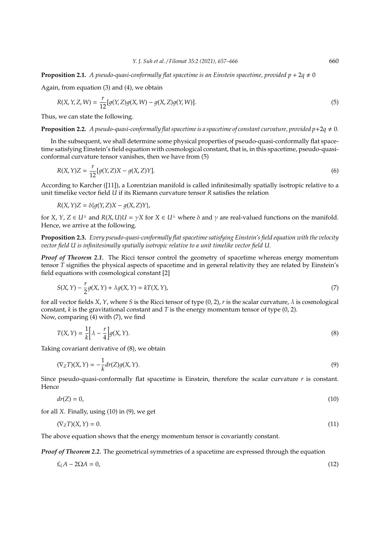**Proposition 2.1.** *A pseudo-quasi-conformally flat spacetime is an Einstein spacetime, provided*  $p + 2q \neq 0$ 

Again, from equation (3) and (4), we obtain

$$
R(X, Y, Z, W) = \frac{r}{12} [g(Y, Z)g(X, W) - g(X, Z)g(Y, W)].
$$
\n(5)

Thus, we can state the following.

**Proposition 2.2.** *A pseudo-quasi-conformally flat spacetime is a spacetime of constant curvature, provided*  $p+2q \neq 0$ *.* 

In the subsequent, we shall determine some physical properties of pseudo-quasi-conformally flat spacetime satisfying Einstein's field equation with cosmological constant, that is, in this spacetime, pseudo-quasiconformal curvature tensor vanishes, then we have from (5)

$$
R(X,Y)Z = \frac{r}{12}[g(Y,Z)X - g(X,Z)Y].
$$
\n<sup>(6)</sup>

According to Karcher ([11]), a Lorentzian manifold is called infinitesimally spatially isotropic relative to a unit timelike vector field *U* if its Riemann curvature tensor *R* satisfies the relation

$$
R(X,Y)Z = \delta\{g(Y,Z)X - g(X,Z)Y\},\,
$$

for *X*, *Y*, *Z*  $\in$  *U*<sup>⊥</sup> and *R*(*X*, *U*)*U* =  $\gamma$ *X* for *X*  $\in$  *U*<sup>⊥</sup> where  $\delta$  and  $\gamma$  are real-valued functions on the manifold. Hence, we arrive at the following.

**Proposition 2.3.** *Every pseudo-quasi-conformally flat spacetime satisfying Einstein's field equation with the velocity vector field U is infinitesimally spatially isotropic relative to a unit timelike vector field U.*

*Proof of Theorem 2.1.* The Ricci tensor control the geometry of spacetime whereas energy momentum tensor *T* signifies the physical aspects of spacetime and in general relativity they are related by Einstein's field equations with cosmological constant [2]

$$
S(X,Y) - \frac{r}{2}g(X,Y) + \lambda g(X,Y) = kT(X,Y),
$$
\n(7)

for all vector fields *X*, *Y*, where *S* is the Ricci tensor of type  $(0, 2)$ , *r* is the scalar curvature,  $\lambda$  is cosmological constant, *k* is the gravitational constant and *T* is the energy momentum tensor of type (0, 2). Now, comparing (4) with (7), we find

$$
T(X,Y) = \frac{1}{k} \left[ \lambda - \frac{r}{4} \right] g(X,Y). \tag{8}
$$

Taking covariant derivative of (8), we obtain

$$
(\nabla_Z T)(X, Y) = -\frac{1}{k} dr(Z)g(X, Y). \tag{9}
$$

Since pseudo-quasi-conformally flat spacetime is Einstein, therefore the scalar curvature *r* is constant. Hence

$$
dr(Z) = 0,\t(10)
$$

for all *X*. Finally, using (10) in (9), we get

$$
(\nabla_Z T)(X, Y) = 0. \tag{11}
$$

The above equation shows that the energy momentum tensor is covariantly constant.

*Proof of Theorem 2.2.* The geometrical symmetries of a spacetime are expressed through the equation

$$
\pounds_{\xi}A - 2\Omega A = 0,\tag{12}
$$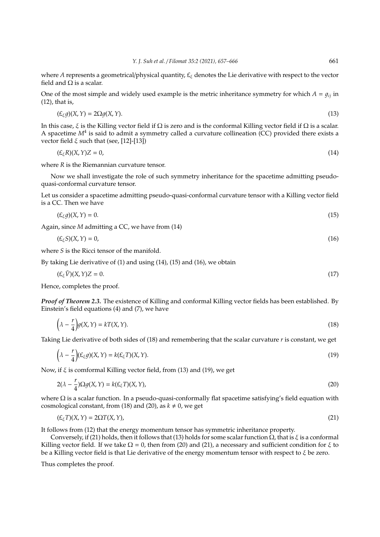where *A* represents a geometrical/physical quantity,  $E_{\xi}$  denotes the Lie derivative with respect to the vector field and Ω is a scalar.

One of the most simple and widely used example is the metric inheritance symmetry for which  $A = q_{ij}$  in (12), that is,

$$
(\mathcal{L}_{\xi}g)(X,Y) = 2\Omega g(X,Y). \tag{13}
$$

In this case,  $\xi$  is the Killing vector field if  $\Omega$  is zero and is the conformal Killing vector field if  $\Omega$  is a scalar. A spacetime  $M^4$  is said to admit a symmetry called a curvature collineation (CC) provided there exists a vector field  $ξ$  such that (see, [12]-[13])

$$
(\mathcal{E}_{\xi}R)(X,Y)Z=0,\tag{14}
$$

where *R* is the Riemannian curvature tensor.

Now we shall investigate the role of such symmetry inheritance for the spacetime admitting pseudoquasi-conformal curvature tensor.

Let us consider a spacetime admitting pseudo-quasi-conformal curvature tensor with a Killing vector field is a CC. Then we have

$$
(\mathcal{L}_{\xi}g)(X,Y) = 0. \tag{15}
$$

Again, since *M* admitting a CC, we have from (14)

$$
(\mathcal{L}_{\xi}S)(X,Y) = 0,\tag{16}
$$

where *S* is the Ricci tensor of the manifold.

By taking Lie derivative of (1) and using (14), (15) and (16), we obtain

$$
(\mathcal{L}_{\xi}\tilde{V})(X,Y)Z = 0. \tag{17}
$$

Hence, completes the proof.

*Proof of Theorem 2.3.* The existence of Killing and conformal Killing vector fields has been established. By Einstein's field equations (4) and (7), we have

$$
\left(\lambda - \frac{r}{4}\right)g(X, Y) = kT(X, Y). \tag{18}
$$

Taking Lie derivative of both sides of (18) and remembering that the scalar curvature *r* is constant, we get

$$
\left(\lambda - \frac{r}{4}\right)(\mathcal{L}_{\xi}g)(X,Y) = k(\mathcal{L}_{\xi}T)(X,Y). \tag{19}
$$

Now, if  $\xi$  is comformal Killing vector field, from (13) and (19), we get

$$
2(\lambda - \frac{r}{4})\Omega g(X, Y) = k(E_{\xi}T)(X, Y),
$$
\n(20)

where  $\Omega$  is a scalar function. In a pseudo-quasi-conformally flat spacetime satisfying's field equation with cosmological constant, from (18) and (20), as  $k \neq 0$ , we get

$$
(\mathcal{L}_{\xi}T)(X,Y) = 2\Omega T(X,Y),\tag{21}
$$

It follows from (12) that the energy momentum tensor has symmetric inheritance property.

Conversely, if (21) holds, then it follows that (13) holds for some scalar function  $\Omega$ , that is  $\xi$  is a conformal Killing vector field. If we take  $\Omega = 0$ , then from (20) and (21), a necessary and sufficient condition for  $\xi$  to be a Killing vector field is that Lie derivative of the energy momentum tensor with respect to  $\xi$  be zero.

Thus completes the proof.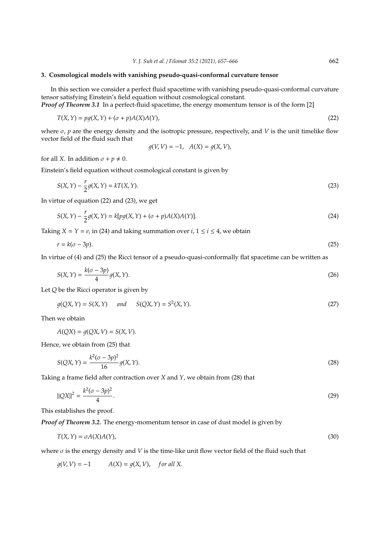#### **3. Cosmological models with vanishing pseudo-quasi-conformal curvature tensor**

In this section we consider a perfect fluid spacetime with vanishing pseudo-quasi-conformal curvature tensor satisfying Einstein's field equation without cosmological constant.

*Proof of Theorem 3.1* In a perfect-fluid spacetime, the energy momentum tensor is of the form [2]

$$
T(X,Y) = pg(X,Y) + (\sigma + p)A(X)A(Y),
$$
\n(22)

where  $\sigma$ ,  $p$  are the energy density and the isotropic pressure, respectively, and *V* is the unit timelike flow vector field of the fluid such that

$$
g(V, V) = -1
$$
,  $A(X) = g(X, V)$ ,

for all *X*. In addition  $\sigma + p \neq 0$ .

Einstein's field equation without cosmological constant is given by

$$
S(X,Y) - \frac{r}{2}g(X,Y) = kT(X,Y).
$$
\n(23)

In virtue of equation (22) and (23), we get

$$
S(X,Y) - \frac{r}{2}g(X,Y) = k[pg(X,Y) + (\sigma + p)A(X)A(Y)].
$$
\n(24)

Taking *X* = *Y* =  $e_i$  in (24) and taking summation over *i*, 1  $\le i \le 4$ , we obtain

$$
r = k(\sigma - 3p). \tag{25}
$$

In virtue of (4) and (25) the Ricci tensor of a pseudo-quasi-conformally flat spacetime can be written as

$$
S(X,Y) = \frac{k(\sigma - 3p)}{4}g(X,Y). \tag{26}
$$

Let *Q* be the Ricci operator is given by

$$
g(QX, Y) = S(X, Y) \quad and \quad S(QX, Y) = S^2(X, Y). \tag{27}
$$

Then we obtain

$$
A(QX) = g(QX, V) = S(X, V).
$$

Hence, we obtain from (25) that

$$
S(QX,Y) = \frac{k^2(\sigma - 3p)^2}{16} g(X,Y).
$$
 (28)

Taking a frame field after contraction over *X* and *Y*, we obtain from (28) that

$$
||QX||^2 = \frac{k^2(\sigma - 3p)^2}{4}.
$$
\n(29)

This establishes the proof.

*Proof of Theorem 3.2.* The energy-momentum tensor in case of dust model is given by

$$
T(X,Y) = \sigma A(X)A(Y),\tag{30}
$$

where  $\sigma$  is the energy density and *V* is the time-like unit flow vector field of the fluid such that

$$
g(V, V) = -1 \qquad A(X) = g(X, V), \quad \text{for all } X.
$$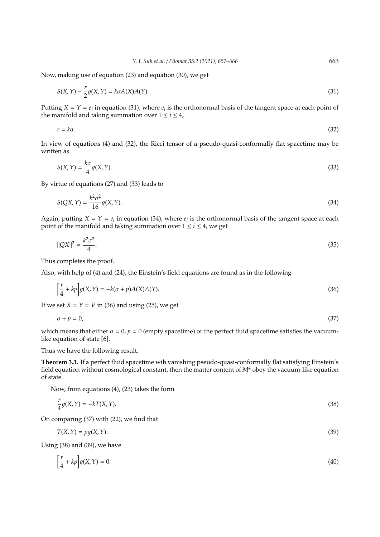Now, making use of equation (23) and equation (30), we get

$$
S(X,Y) - \frac{r}{2}g(X,Y) = k\sigma A(X)A(Y). \tag{31}
$$

Putting  $X = Y = e_i$  in equation (31), where  $e_i$  is the orthonormal basis of the tangent space at each point of the manifold and taking summation over  $1 \le i \le 4$ ,

$$
r = k\sigma. \tag{32}
$$

In view of equations (4) and (32), the Ricci tensor of a pseudo-quasi-conformally flat spacetime may be written as

$$
S(X,Y) = \frac{k\sigma}{4}g(X,Y). \tag{33}
$$

By virtue of equations (27) and (33) leads to

$$
S(QX,Y) = \frac{k^2 \sigma^2}{16} g(X,Y). \tag{34}
$$

Again, putting  $X = Y = e_i$  in equation (34), where  $e_i$  is the orthonormal basis of the tangent space at each point of the manifold and taking summation over  $1 \le i \le 4$ , we get

$$
||QX||^2 = \frac{k^2 \sigma^2}{4}.
$$
\n(35)

Thus completes the proof.

Also, with help of (4) and (24), the Einstein's field equations are found as in the following

$$
\left[\frac{r}{4} + kp\right]g(X, Y) = -k(\sigma + p)A(X)A(Y). \tag{36}
$$

If we set  $X = Y = V$  in (36) and using (25), we get

$$
\sigma + p = 0,\tag{37}
$$

which means that either  $\sigma = 0$ ,  $p = 0$  (empty spacetime) or the perfect fluid spacetime satisfies the vacuumlike equation of state [6].

Thus we have the following result.

**Theorem 3.3.** If a perfect fluid spacetime wih vanishing pseudo-quasi-conformally flat satisfying Einstein's field equation without cosmological constant, then the matter content of  $M<sup>4</sup>$  obey the vacuum-like equation of state.

Now, from equations (4), (23) takes the form

$$
\frac{r}{4}g(X,Y) = -kT(X,Y). \tag{38}
$$

On comparing (37) with (22), we find that

$$
T(X,Y) = pg(X,Y). \tag{39}
$$

Using (38) and (39), we have

$$
\left[\frac{r}{4} + kp\right]g(X, Y) = 0.\tag{40}
$$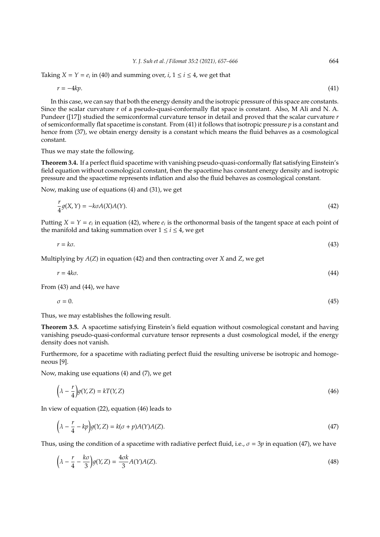Taking *X* = *Y* =  $e_i$  in (40) and summing over, *i*, 1  $\le i \le 4$ , we get that

$$
r = -4kp.\tag{41}
$$

In this case, we can say that both the energy density and the isotropic pressure of this space are constants. Since the scalar curvature *r* of a pseudo-quasi-conformally flat space is constant. Also, M Ali and N. A. Pundeer ([17]) studied the semiconformal curvature tensor in detail and proved that the scalar curvature *r* of semiconformally flat spacetime is constant. From (41) it follows that isotropic pressure *p* is a constant and hence from (37), we obtain energy density is a constant which means the fluid behaves as a cosmological constant.

Thus we may state the following.

*r*

**Theorem 3.4.** If a perfect fluid spacetime with vanishing pseudo-quasi-conformally flat satisfying Einstein's field equation without cosmological constant, then the spacetime has constant energy density and isotropic pressure and the spacetime represents inflation and also the fluid behaves as cosmological constant.

Now, making use of equations (4) and (31), we get

$$
\frac{1}{4}g(X,Y) = -k\sigma A(X)A(Y). \tag{42}
$$

Putting  $X = Y = e_i$  in equation (42), where  $e_i$  is the orthonormal basis of the tangent space at each point of the manifold and taking summation over  $1 \le i \le 4$ , we get

$$
r = k\sigma. \tag{43}
$$

Multiplying by *A*(*Z*) in equation (42) and then contracting over *X* and *Z*, we get

$$
r = 4k\sigma. \tag{44}
$$

From (43) and (44), we have

$$
\sigma = 0.\tag{45}
$$

Thus, we may establishes the following result.

**Theorem 3.5.** A spacetime satisfying Einstein's field equation without cosmological constant and having vanishing pseudo-quasi-conformal curvature tensor represents a dust cosmological model, if the energy density does not vanish.

Furthermore, for a spacetime with radiating perfect fluid the resulting universe be isotropic and homogeneous [9].

Now, making use equations (4) and (7), we get

$$
\left(\lambda - \frac{r}{4}\right)g(Y, Z) = kT(Y, Z) \tag{46}
$$

In view of equation (22), equation (46) leads to

$$
\left(\lambda - \frac{r}{4} - kp\right)g(Y, Z) = k(\sigma + p)A(Y)A(Z). \tag{47}
$$

Thus, using the condition of a spacetime with radiative perfect fluid, i.e.,  $\sigma = 3p$  in equation (47), we have

$$
\left(\lambda - \frac{r}{4} - \frac{k\sigma}{3}\right)g(Y, Z) = \frac{4\sigma k}{3}A(Y)A(Z). \tag{48}
$$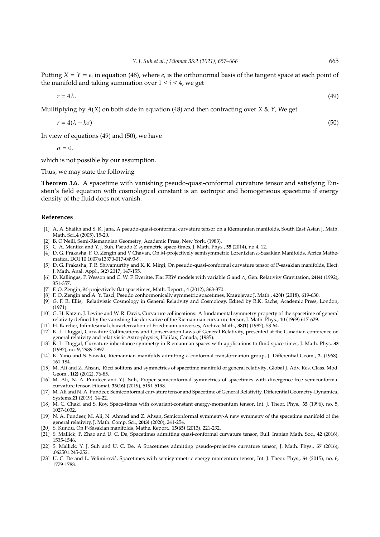Putting  $X = Y = e_i$  in equation (48), where  $e_i$  is the orthonormal basis of the tangent space at each point of the manifold and taking summation over  $1 \le i \le 4$ , we get

$$
r = 4\lambda. \tag{49}
$$

Mulltiplying by *A*(*X*) on both side in equation (48) and then contracting over *X* & *Y*, We get

$$
r = 4(\lambda + k\sigma) \tag{50}
$$

In view of equations (49) and (50), we have

 $\sigma = 0$ .

which is not possible by our assumption.

Thus, we may state the following

**Theorem 3.6.** A spacetime with vanishing pseudo-quasi-conformal curvature tensor and satisfying Einstein's field equation with cosmological constant is an isotropic and homogeneous spacetime if energy density of the fluid does not vanish.

#### **References**

- [1] A. A. Shaikh and S. K. Jana, A pseudo-quasi-conformal curvature tensor on a Riemannian manifolds, South East Asian J. Math. Math. Sci.,**4** (2005), 15-20.
- [2] B. O'Neill, Semi-Riemannian Geometry, Academic Press, New York, (1983).
- [3] C. A. Mantica and Y. J. Suh, Pseudo-Z symmetric space-times, J. Math. Phys., **55** (2014), no.4, 12.
- [4] D. G. Prakasha, F. O. Zengin and V Chavan, On *M*-projectively semisymmetric Lorentzian α-Sasakian Manifolds, Africa Mathematica. DOI 10.1007/s13370-017-0493-9.
- [5] D. G. Prakasha, T. R. Shivamurthy and K. K. Mirgi, On pseudo-quasi-conformal curvature tensor of P-sasakian manifolds, Elect. J. Math. Anal. Appl., **5(2)** 2017, 147-155.
- [6] D. Kallingas, P. Wesson and C. W. F. Everitte, Flat FRW models with variable *G* and ∧, Gen. Relativity Gravitation, **24(4)** (1992), 351-357.
- [7] F. O. Zengin, *M*-projectively flat spacetimes, Math. Report., **4** (2012), 363-370.
- [8] F. O. Zengin and A. Y. Tasci, Pseudo conhormonically symmetric spacetimes, Kragujevac J. Math., **42(4)** (2018), 619-630.
- [9] G. F. R. Ellis, Relativistic Cosmology in General Relativity and Cosmology, Edited by R.K. Sachs, Academic Press, London, (1971).
- [10] G. H. Katzin, J. Levine and W. R. Davis, Curvature collineations: A fundamental symmetry property of the spacetime of general relativity defined by the vanishing Lie derivative of the Riemannian curvature tensor, J. Math. Phys., **10** (1969) 617-629.
- [11] H. Karcher, Infinitesimal characterization of Friedmann universes, Archive Math., **38(1)** (1982), 58-64.
- [12] K. L. Duggal, Curvature Collineations and Conservation Laws of General Relativity, presented at the Canadian conference on general relativity and relativistic Astro-physics, Halifax, Canada, (1985).
- [13] K. L. Duggal, Curvature inheritance symmetry in Riemannian spaces with applications to fluid space times, J. Math. Phys. **33** (1992), no. 9, 2989-2997.
- [14] K. Yano and S. Sawaki, Riemannian manifolds admitting a conformal transformation group, J. Differential Geom., **2**, (1968), 161-184.
- [15] M. Ali and Z. Ahsan, Ricci solitons and symmetries of spacetime manifold of general relativity, Global J. Adv. Res. Class. Mod. Geom., **1(2)** (2012), 76-85.
- [16] M. Ali, N. A. Pundeer and Y.J. Suh, Proper semiconformal symmetries of spacetimes with divergence-free semiconformal curvature tensor, Filomat, **33(16)** (2019), 5191-5198.
- [17] M. Ali and N. A. Pundeer, Semiconformal curvature tensor and Spacetime of General Relativity, Differential Geometry-Dynamical Systems,**21** (2019), 14-22.
- [18] M. C. Chaki and S. Roy, Space-times with covariant-constant energy-momentum tensor, Int. J. Theor. Phys., **35** (1996), no. 5, 1027-1032.
- [19] N. A. Pundeer, M. Ali, N. Ahmad and Z. Ahsan, Semiconformal symmetry-A new symmetry of the spacetime manifold of the general relativity, J. Math. Comp. Sci., **20(3)** (2020), 241-254.
- [20] S. Kundu, On P-Sasakian manifolds, Mathe. Report., **15(65)** (2013), 221-232.
- [21] S. Mallick, P. Zhao and U. C. De, Spacetimes admitting quasi-conformal curvature tensor, Bull. Iranian Math. Soc., **42** (2016), 1535-1546.
- [22] S. Mallick, Y. J. Suh and U. C. De, A Spacetimes admitting pseudo-projective curvature tensor, J. Math. Phys., **57** (2016), .062501.245-252.
- [23] U. C. De and L. Velimirovi*c*`, Spacetimes with semisymmetric energy momentum tensor, Int. J. Theor. Phys., **54** (2015), no. 6, 1779-1783.